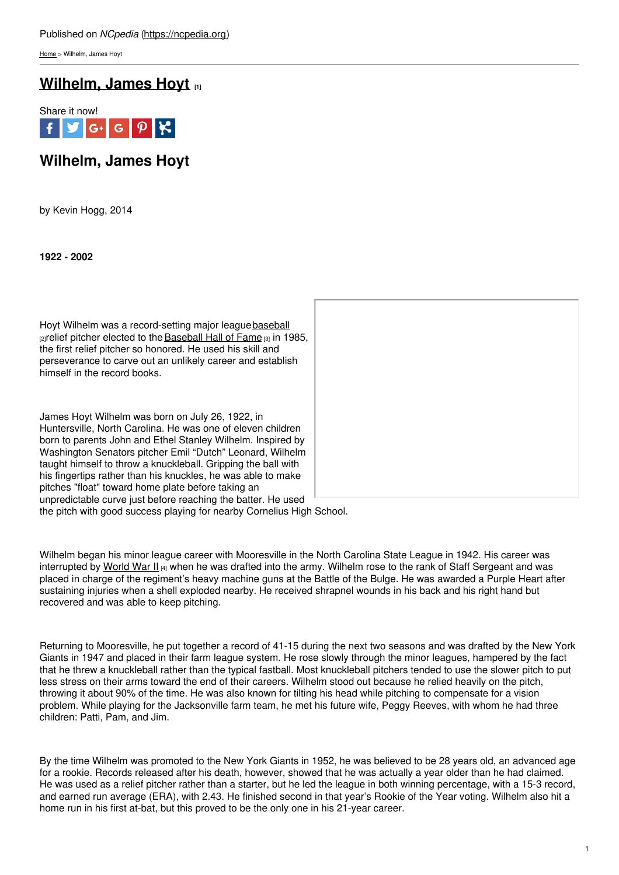[Home](https://ncpedia.org/) > Wilhelm, James Hoyt

## **[Wilhelm,](https://ncpedia.org/wilhelm-james-hoyt) James Hoyt [1]**



# **Wilhelm, James Hoyt**

by Kevin Hogg, 2014

**1922 - 2002**

Hoyt Wilhelm was a record-setting major league[baseball](https://ncpedia.org/baseball)  $z$  relief pitcher elected to the [Baseball](https://baseballhall.org/hall-of-famers/wilhelm-hoyt) Hall of Fame  $z<sub>3</sub>$  in 1985, the first relief pitcher so honored. He used his skill and perseverance to carve out an unlikely career and establish himself in the record books.

James Hoyt Wilhelm was born on July 26, 1922, in Huntersville, North Carolina. He was one of eleven children born to parents John and Ethel Stanley Wilhelm. Inspired by Washington Senators pitcher Emil "Dutch" Leonard, Wilhelm taught himself to throw a knuckleball. Gripping the ball with his fingertips rather than his knuckles, he was able to make pitches "float" toward home plate before taking an unpredictable curve just before reaching the batter. He used



the pitch with good success playing for nearby Cornelius High School.

Wilhelm began his minor league career with Mooresville in the North Carolina State League in 1942. His career was interrupted by [World](https://ncpedia.org/world-war-ii) War II [4] when he was drafted into the army. Wilhelm rose to the rank of Staff Sergeant and was placed in charge of the regiment's heavy machine guns at the Battle of the Bulge. He was awarded a Purple Heart after sustaining injuries when a shell exploded nearby. He received shrapnel wounds in his back and his right hand but recovered and was able to keep pitching.

Returning to Mooresville, he put together a record of 41-15 during the next two seasons and was drafted by the New York Giants in 1947 and placed in their farm league system. He rose slowly through the minor leagues, hampered by the fact that he threw a knuckleball rather than the typical fastball. Most knuckleball pitchers tended to use the slower pitch to put less stress on their arms toward the end of their careers. Wilhelm stood out because he relied heavily on the pitch, throwing it about 90% of the time. He was also known for tilting his head while pitching to compensate for a vision problem. While playing for the Jacksonville farm team, he met his future wife, Peggy Reeves, with whom he had three children: Patti, Pam, and Jim.

By the time Wilhelm was promoted to the New York Giants in 1952, he was believed to be 28 years old, an advanced age for a rookie. Records released after his death, however, showed that he was actually a year older than he had claimed. He was used as a relief pitcher rather than a starter, but he led the league in both winning percentage, with a 15-3 record, and earned run average (ERA), with 2.43. He finished second in that year's Rookie of the Year voting. Wilhelm also hit a home run in his first at-bat, but this proved to be the only one in his 21-year career.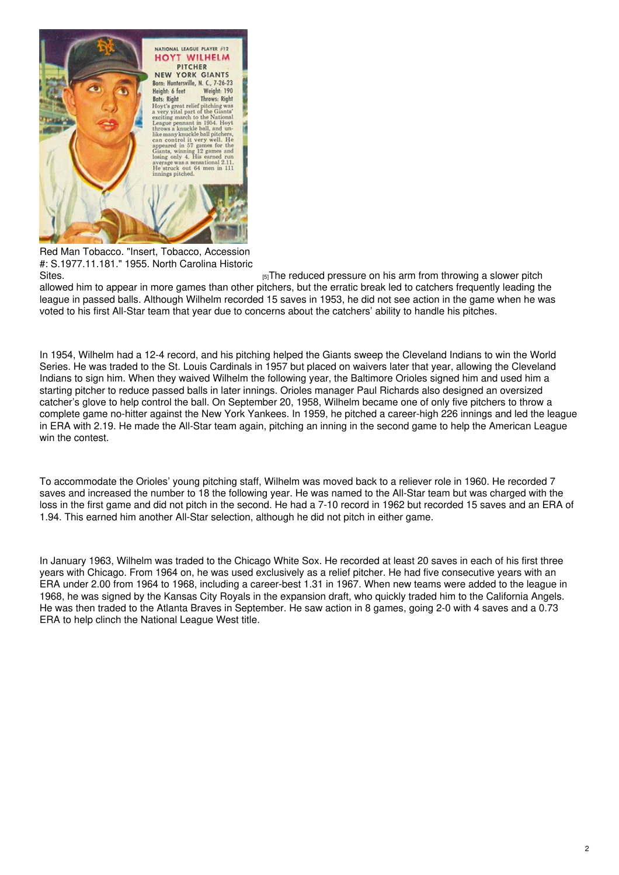

Red Man Tobacco. "Insert, Tobacco, Accession #: S.1977.11.181." 1955. North Carolina Historic

[Sites.](https://collections.ncdcr.gov/RediscoveryProficioPublicSearch/ShowItem.aspx?46306+&46306+) **EXECUTE:** IT IS INCRETE: IT IS INTERFERITE: IT IS A SET TO A SET THE REDUCED PRESSURE ON his arm from throwing a slower pitch allowed him to appear in more games than other pitchers, but the erratic break led to catchers frequently leading the league in passed balls. Although Wilhelm recorded 15 saves in 1953, he did not see action in the game when he was voted to his first All-Star team that year due to concerns about the catchers' ability to handle his pitches.

In 1954, Wilhelm had a 12-4 record, and his pitching helped the Giants sweep the Cleveland Indians to win the World Series. He was traded to the St. Louis Cardinals in 1957 but placed on waivers later that year, allowing the Cleveland Indians to sign him. When they waived Wilhelm the following year, the Baltimore Orioles signed him and used him a starting pitcher to reduce passed balls in later innings. Orioles manager Paul Richards also designed an oversized catcher's glove to help control the ball. On September 20, 1958, Wilhelm became one of only five pitchers to throw a complete game no-hitter against the New York Yankees. In 1959, he pitched a career-high 226 innings and led the league in ERA with 2.19. He made the All-Star team again, pitching an inning in the second game to help the American League win the contest.

To accommodate the Orioles' young pitching staff, Wilhelm was moved back to a reliever role in 1960. He recorded 7 saves and increased the number to 18 the following year. He was named to the All-Star team but was charged with the loss in the first game and did not pitch in the second. He had a 7-10 record in 1962 but recorded 15 saves and an ERA of 1.94. This earned him another All-Star selection, although he did not pitch in either game.

In January 1963, Wilhelm was traded to the Chicago White Sox. He recorded at least 20 saves in each of his first three years with Chicago. From 1964 on, he was used exclusively as a relief pitcher. He had five consecutive years with an ERA under 2.00 from 1964 to 1968, including a career-best 1.31 in 1967. When new teams were added to the league in 1968, he was signed by the Kansas City Royals in the expansion draft, who quickly traded him to the California Angels. He was then traded to the Atlanta Braves in September. He saw action in 8 games, going 2-0 with 4 saves and a 0.73 ERA to help clinch the National League West title.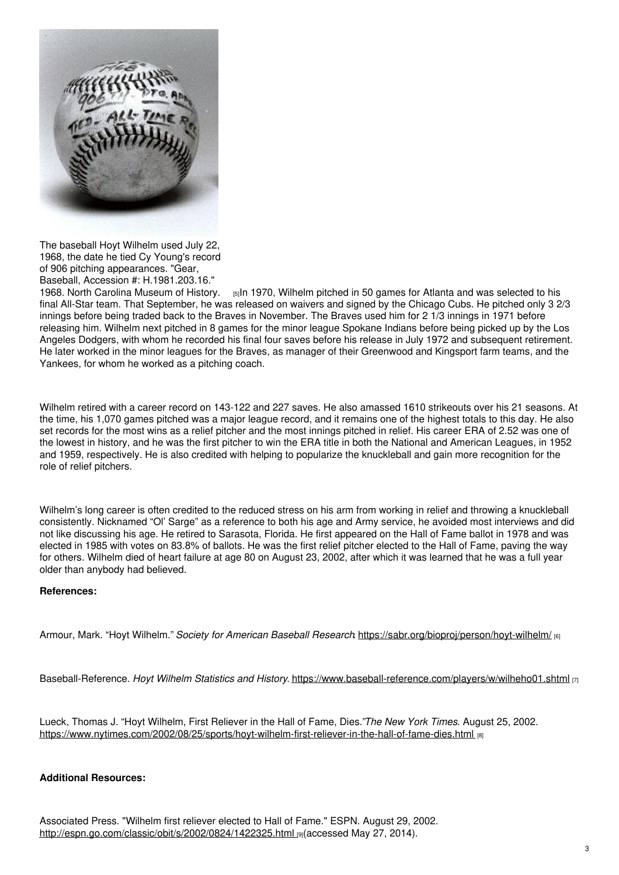![](_page_2_Picture_0.jpeg)

The baseball Hoyt Wilhelm used July 22, 1968, the date he tied Cy Young's record of 906 pitching appearances. "Gear, Baseball, Accession #: H.1981.203.16."

1968. North Carolina [Museum](https://collections.ncdcr.gov/RediscoveryProficioPublicSearch/ShowItem.aspx?46306+&46306+) of History. [5]In 1970, Wilhelm pitched in 50 games for Atlanta and was selected to his final All-Star team. That September, he was released on waivers and signed by the Chicago Cubs. He pitched only 3 2/3 innings before being traded back to the Braves in November. The Braves used him for 2 1/3 innings in 1971 before releasing him. Wilhelm next pitched in 8 games for the minor league Spokane Indians before being picked up by the Los Angeles Dodgers, with whom he recorded his final four saves before his release in July 1972 and subsequent retirement. He later worked in the minor leagues for the Braves, as manager of their Greenwood and Kingsport farm teams, and the Yankees, for whom he worked as a pitching coach.

Wilhelm retired with a career record on 143-122 and 227 saves. He also amassed 1610 strikeouts over his 21 seasons. At the time, his 1,070 games pitched was a major league record, and it remains one of the highest totals to this day. He also set records for the most wins as a relief pitcher and the most innings pitched in relief. His career ERA of 2.52 was one of the lowest in history, and he was the first pitcher to win the ERA title in both the National and American Leagues, in 1952 and 1959, respectively. He is also credited with helping to popularize the knuckleball and gain more recognition for the role of relief pitchers.

Wilhelm's long career is often credited to the reduced stress on his arm from working in relief and throwing a knuckleball consistently. Nicknamed "Ol' Sarge" as a reference to both his age and Army service, he avoided most interviews and did not like discussing his age. He retired to Sarasota, Florida. He first appeared on the Hall of Fame ballot in 1978 and was elected in 1985 with votes on 83.8% of ballots. He was the first relief pitcher elected to the Hall of Fame, paving the way for others. Wilhelm died of heart failure at age 80 on August 23, 2002, after which it was learned that he was a full year older than anybody had believed.

### **References:**

Armour, Mark. "Hoyt Wilhelm." *Society for American Baseball Research*. <https://sabr.org/bioproj/person/hoyt-wilhelm/> [6]

Baseball-Reference. *Hoyt Wilhelm Statistics and History*. <https://www.baseball-reference.com/players/w/wilheho01.shtml> [7]

Lueck, Thomas J. "Hoyt Wilhelm, First Reliever in the Hall of Fame, Dies."*The New York Times*. August 25, 2002. <https://www.nytimes.com/2002/08/25/sports/hoyt-wilhelm-first-reliever-in-the-hall-of-fame-dies.html> [8]

### **Additional Resources:**

Associated Press. "Wilhelm first reliever elected to Hall of Fame." ESPN. August 29, 2002. [http://espn.go.com/classic/obit/s/2002/0824/1422325.html](https://www.espn.com/classic/obit/s/2002/0824/1422325.html) [9](accessed May 27, 2014).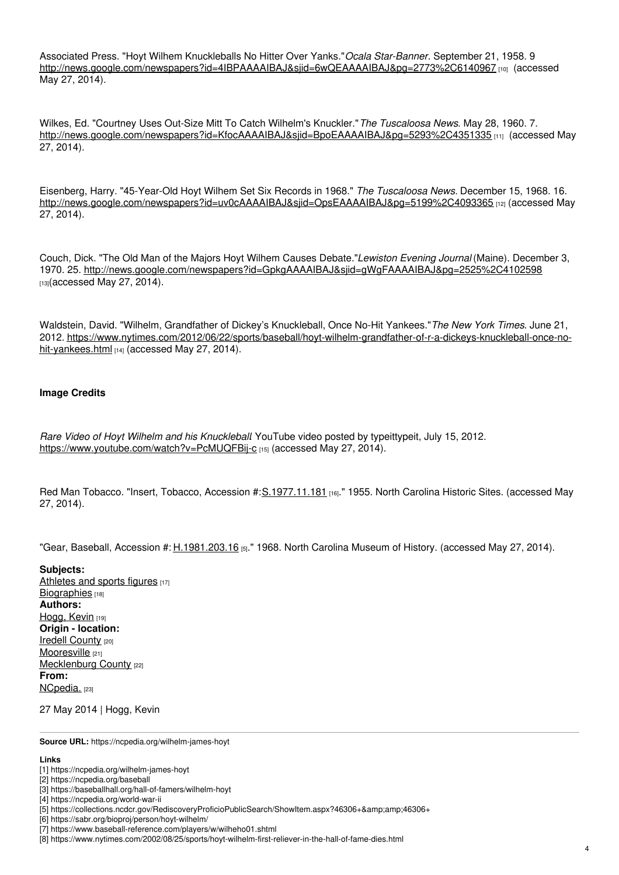Associated Press. "Hoyt Wilhem Knuckleballs No Hitter Over Yanks."*Ocala Star-Banner*. September 21, 1958. 9 <http://news.google.com/newspapers?id=4IBPAAAAIBAJ&sjid=6wQEAAAAIBAJ&pg=2773%2C6140967> [10] (accessed May 27, 2014).

Wilkes, Ed. "Courtney Uses Out-Size Mitt To Catch Wilhelm's Knuckler."*The Tuscaloosa News*. May 28, 1960. 7. <http://news.google.com/newspapers?id=KfocAAAAIBAJ&sjid=BpoEAAAAIBAJ&pg=5293%2C4351335> [11] (accessed May 27, 2014).

Eisenberg, Harry. "45-Year-Old Hoyt Wilhem Set Six Records in 1968." *The Tuscaloosa News.* December 15, 1968. 16. <http://news.google.com/newspapers?id=uv0cAAAAIBAJ&sjid=OpsEAAAAIBAJ&pg=5199%2C4093365> [12] (accessed May 27, 2014).

Couch, Dick. "The Old Man of the Majors Hoyt Wilhem Causes Debate."*Lewiston Evening Journal* (Maine). December 3, 1970. 25. <http://news.google.com/newspapers?id=GpkgAAAAIBAJ&sjid=gWgFAAAAIBAJ&pg=2525%2C4102598> [13](accessed May 27, 2014).

Waldstein, David. "Wilhelm, Grandfather of Dickey's Knuckleball, Once No-Hit Yankees."*The New York Times*. June 21, 2012. [https://www.nytimes.com/2012/06/22/sports/baseball/hoyt-wilhelm-grandfather-of-r-a-dickeys-knuckleball-once-no](https://www.nytimes.com/2012/06/22/sports/baseball/hoyt-wilhelm-grandfather-of-r-a-dickeys-knuckleball-once-no-hit-yankees.html)hit-yankees.html [14] (accessed May 27, 2014).

### **Image Credits**

*Rare Video of Hoyt Wilhelm and his Knuckleball*. YouTube video posted by typeittypeit, July 15, 2012. <https://www.youtube.com/watch?v=PcMUQFBij-c> [15] (accessed May 27, 2014).

Red Man Tobacco. "Insert, Tobacco, Accession #[:S.1977.11.181](https://collections.ncdcr.gov/RediscoveryProficioPublicSearch/ShowItem.aspx?7240+&7240+) [16]." 1955. North Carolina Historic Sites. (accessed May 27, 2014).

"Gear, Baseball, Accession #: [H.1981.203.16](https://collections.ncdcr.gov/RediscoveryProficioPublicSearch/ShowItem.aspx?46306+&46306+) [5]." 1968. North Carolina Museum of History. (accessed May 27, 2014).

**Subjects:** [Athletes](https://ncpedia.org/category/subjects/athletes-sports-figures) and sports figures [17] [Biographies](https://ncpedia.org/category/subjects/biography-term) [18] **Authors:** [Hogg,](https://ncpedia.org/category/authors/hogg-kevin) Kevin [19] **Origin - location:** Iredell [County](https://ncpedia.org/category/origin-location/piedmont/i) [20] [Mooresville](https://ncpedia.org/category/origin-location-4) [21] [Mecklenburg](https://ncpedia.org/category/origin-location/piedmont/m) County [22] **From:** [NCpedia.](https://ncpedia.org/category/entry-source/ncpedia) [23]

27 May 2014 | Hogg, Kevin

**Source URL:** https://ncpedia.org/wilhelm-james-hoyt

#### **Links**

- [2] https://ncpedia.org/baseball
- [3] https://baseballhall.org/hall-of-famers/wilhelm-hoyt
- [4] https://ncpedia.org/world-war-ii

[6] https://sabr.org/bioproj/person/hoyt-wilhelm/

<sup>[1]</sup> https://ncpedia.org/wilhelm-james-hoyt

<sup>[5]</sup> https://collections.ncdcr.gov/RediscoveryProficioPublicSearch/ShowItem.aspx?46306+&46306+

<sup>[7]</sup> https://www.baseball-reference.com/players/w/wilheho01.shtml

<sup>[8]</sup> https://www.nytimes.com/2002/08/25/sports/hoyt-wilhelm-first-reliever-in-the-hall-of-fame-dies.html